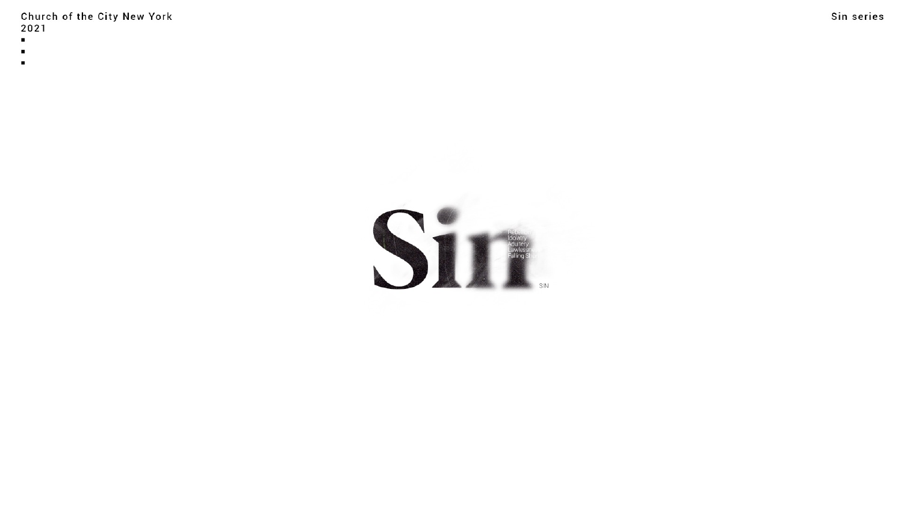- $\blacksquare$
- 
- $\blacksquare$
- 
- $\blacksquare$

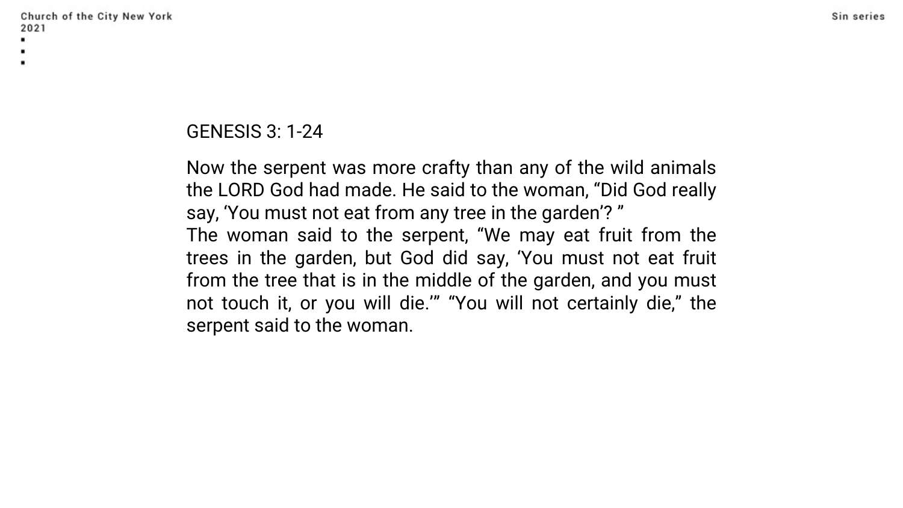#### GENESIS 3: 1-24

Now the serpent was more crafty than any of the wild animals the LORD God had made. He said to the woman, "Did God really say, 'You must not eat from any tree in the garden'? "

The woman said to the serpent, "We may eat fruit from the trees in the garden, but God did say, 'You must not eat fruit from the tree that is in the middle of the garden, and you must not touch it, or you will die.'" "You will not certainly die," the serpent said to the woman.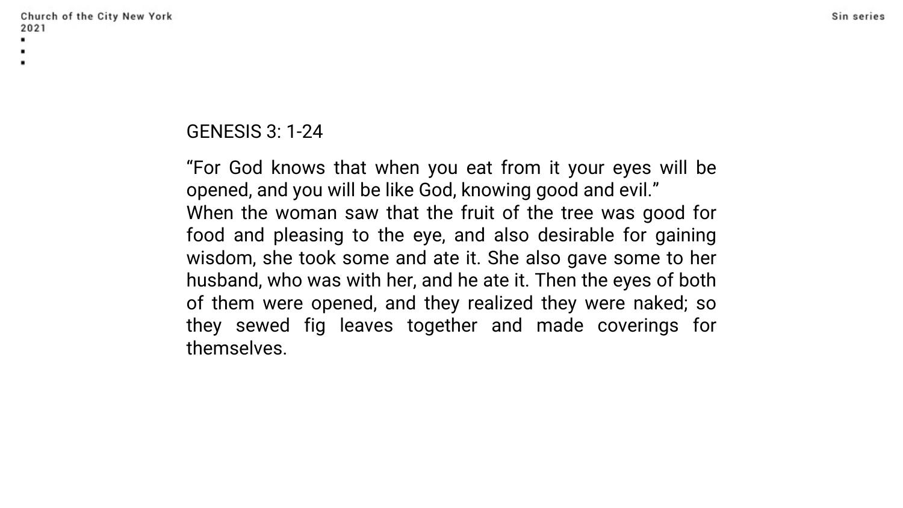#### GENESIS 3: 1-24

"For God knows that when you eat from it your eyes will be opened, and you will be like God, knowing good and evil." When the woman saw that the fruit of the tree was good for food and pleasing to the eye, and also desirable for gaining wisdom, she took some and ate it. She also gave some to her husband, who was with her, and he ate it. Then the eyes of both of them were opened, and they realized they were naked; so they sewed fig leaves together and made coverings for themselves.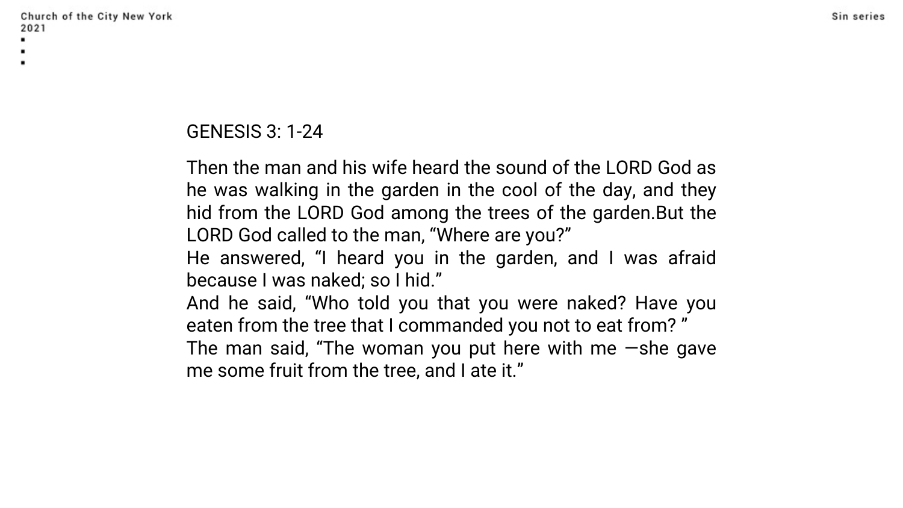#### GENESIS 3: 1-24

Then the man and his wife heard the sound of the LORD God as he was walking in the garden in the cool of the day, and they hid from the LORD God among the trees of the garden.But the LORD God called to the man, "Where are you?"

He answered, "I heard you in the garden, and I was afraid because I was naked; so I hid."

And he said, "Who told you that you were naked? Have you eaten from the tree that I commanded you not to eat from? " The man said, "The woman you put here with me  $-\text{she}$  gave me some fruit from the tree, and I ate it."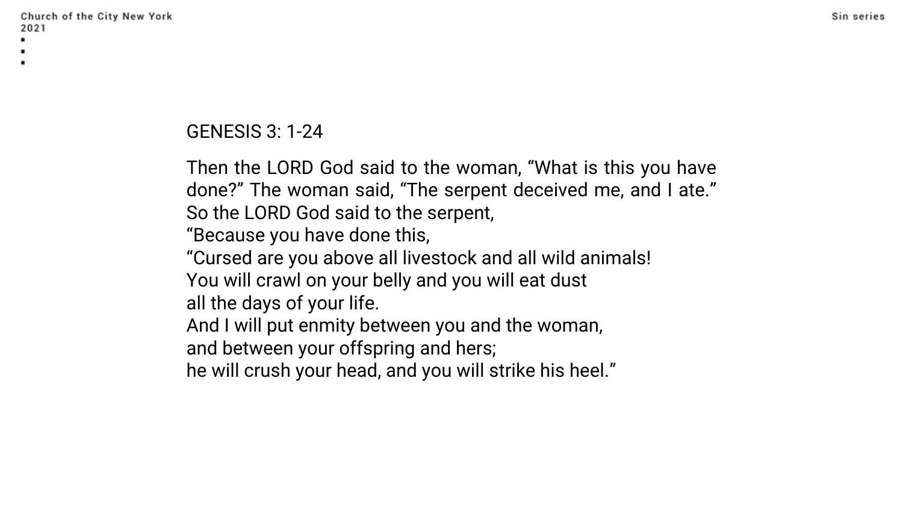## GENESIS 3: 1-24

Then the LORD God said to the woman, "What is this you have done?" The woman said, "The serpent deceived me, and I ate." So the LORD God said to the serpent,

"Because you have done this,

"Cursed are you above all livestock and all wild animals!

You will crawl on your belly and you will eat dust

all the days of your life.

And I will put enmity between you and the woman,

and between your offspring and hers;

he will crush your head, and you will strike his heel."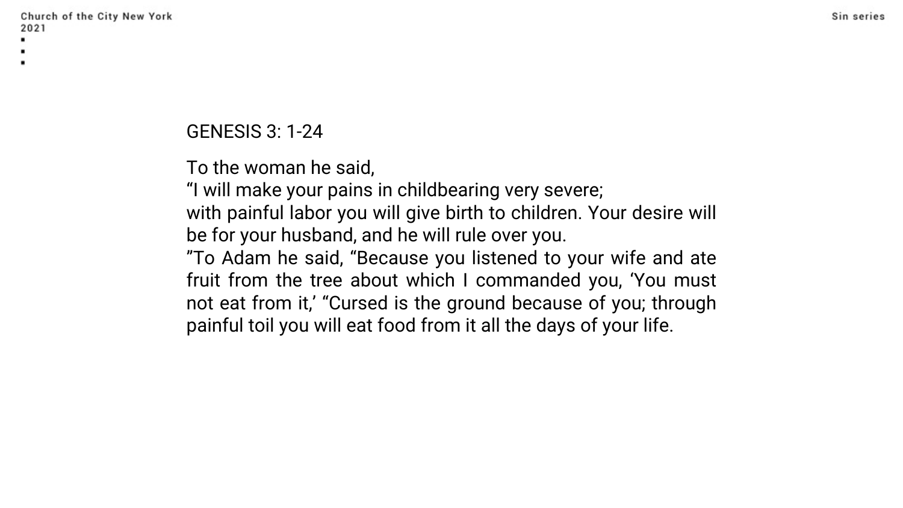#### GENESIS 3: 1-24

To the woman he said,

"I will make your pains in childbearing very severe;

with painful labor you will give birth to children. Your desire will be for your husband, and he will rule over you.

"To Adam he said, "Because you listened to your wife and ate fruit from the tree about which I commanded you, 'You must not eat from it,' "Cursed is the ground because of you; through painful toil you will eat food from it all the days of your life.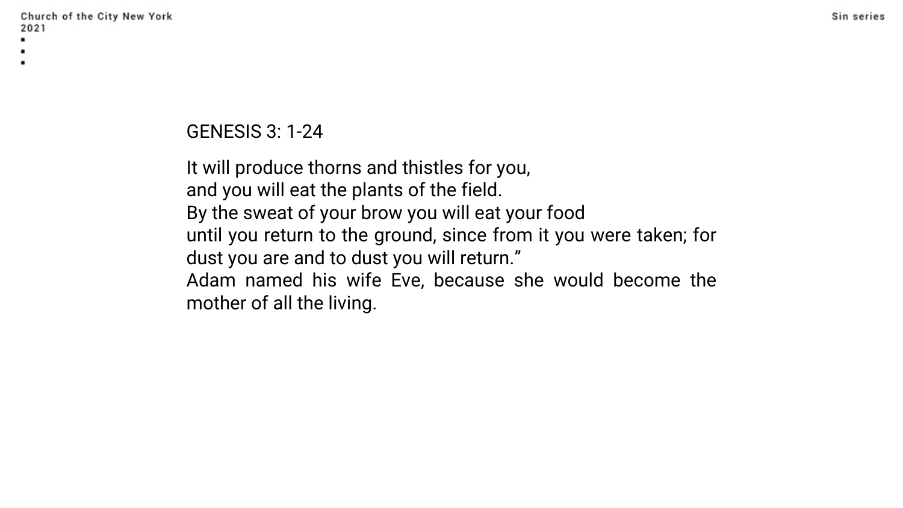#### GENESIS 3: 1-24

It will produce thorns and thistles for you, and you will eat the plants of the field. By the sweat of your brow you will eat your food until you return to the ground, since from it you were taken; for dust you are and to dust you will return." Adam named his wife Eve, because she would become the mother of all the living.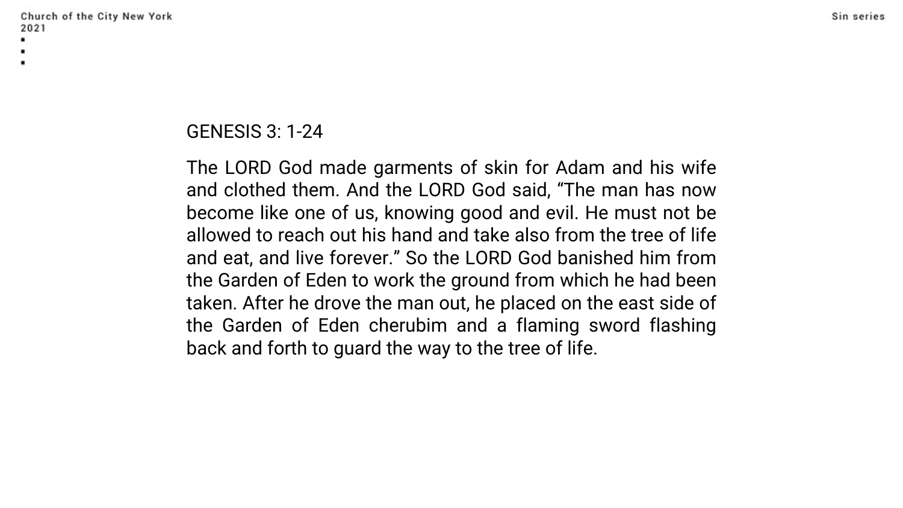#### GENESIS 3: 1-24

The LORD God made garments of skin for Adam and his wife and clothed them. And the LORD God said, "The man has now become like one of us, knowing good and evil. He must not be allowed to reach out his hand and take also from the tree of life and eat, and live forever." So the LORD God banished him from the Garden of Eden to work the ground from which he had been taken. After he drove the man out, he placed on the east side of the Garden of Eden cherubim and a flaming sword flashing back and forth to guard the way to the tree of life.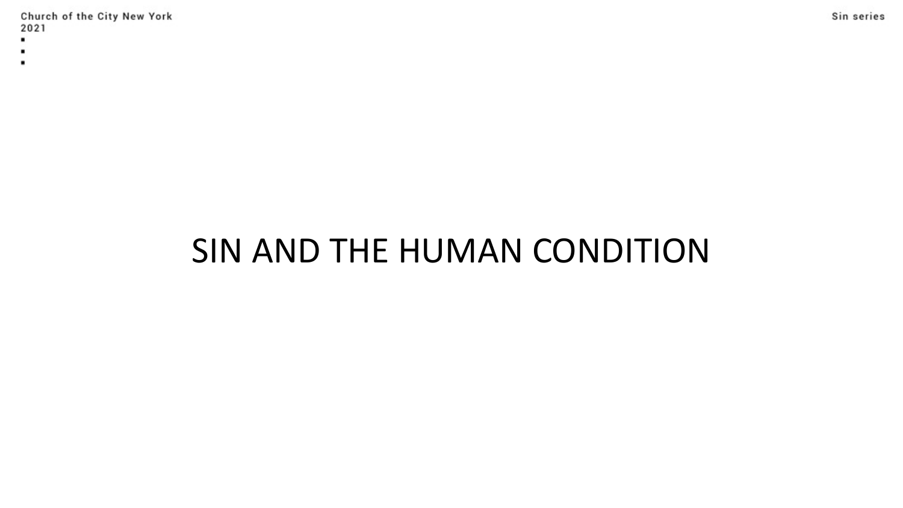- 
- 
- 

Sin series

# SIN AND THE HUMAN CONDITION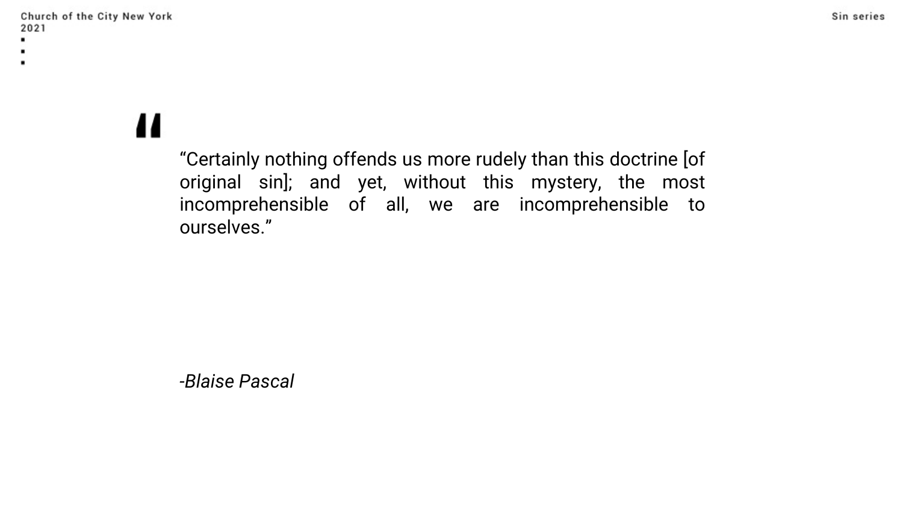# 11

"Certainly nothing offends us more rudely than this doctrine [of original sin]; and yet, without this mystery, the most incomprehensible of all, we are incomprehensible to ourselves."

*-Blaise Pascal*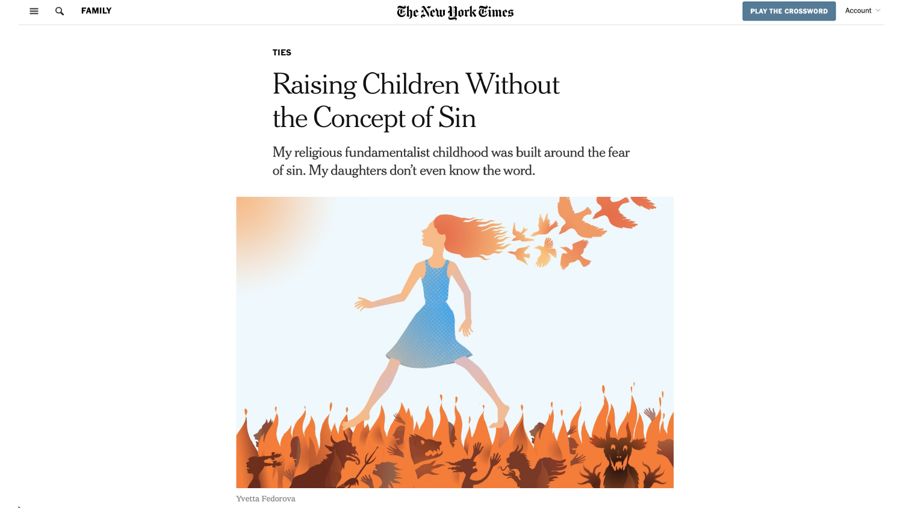**TIES** 

## Raising Children Without the Concept of Sin

My religious fundamentalist childhood was built around the fear of sin. My daughters don't even know the word.



Yvetta Fedorova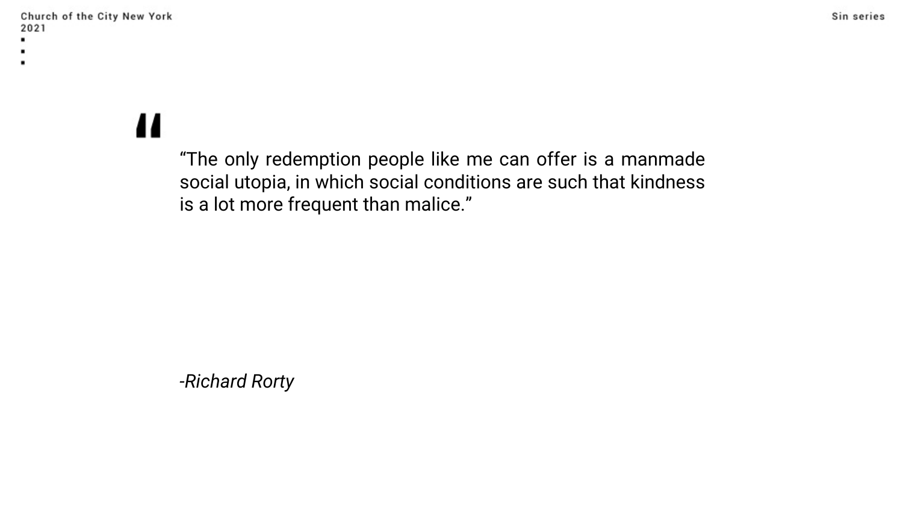# 11

"The only redemption people like me can offer is a manmade social utopia, in which social conditions are such that kindness is a lot more frequent than malice."

*-Richard Rorty*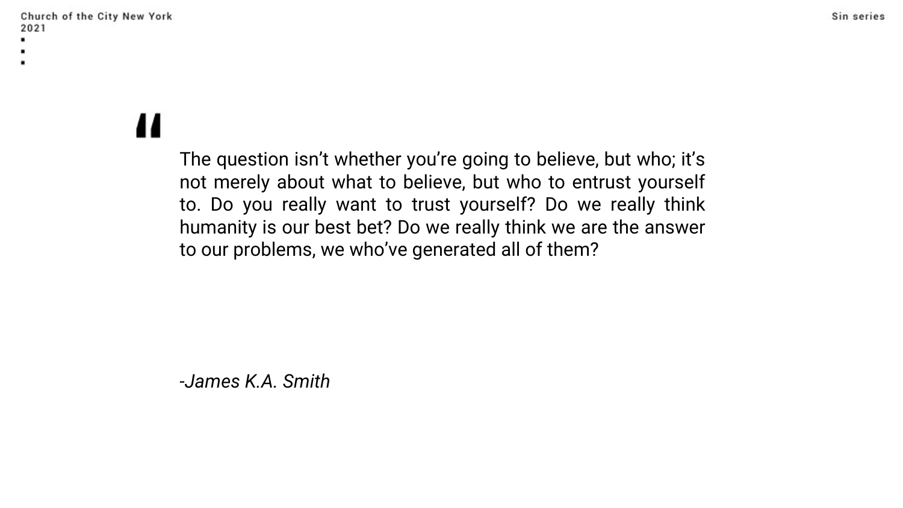The question isn't whether you're going to believe, but who; it's not merely about what to believe, but who to entrust yourself to. Do you really want to trust yourself? Do we really think humanity is our best bet? Do we really think we are the answer to our problems, we who've generated all of them?

*-James K.A. Smith*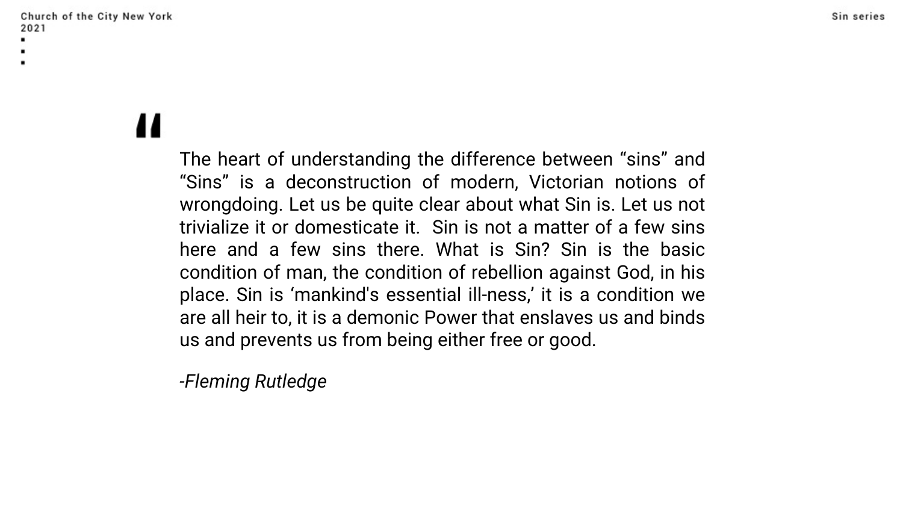The heart of understanding the difference between "sins" and "Sins" is a deconstruction of modern, Victorian notions of wrongdoing. Let us be quite clear about what Sin is. Let us not trivialize it or domesticate it. Sin is not a matter of a few sins here and a few sins there. What is Sin? Sin is the basic condition of man, the condition of rebellion against God, in his place. Sin is 'mankind's essential ill-ness,' it is a condition we are all heir to, it is a demonic Power that enslaves us and binds us and prevents us from being either free or good.

*-Fleming Rutledge*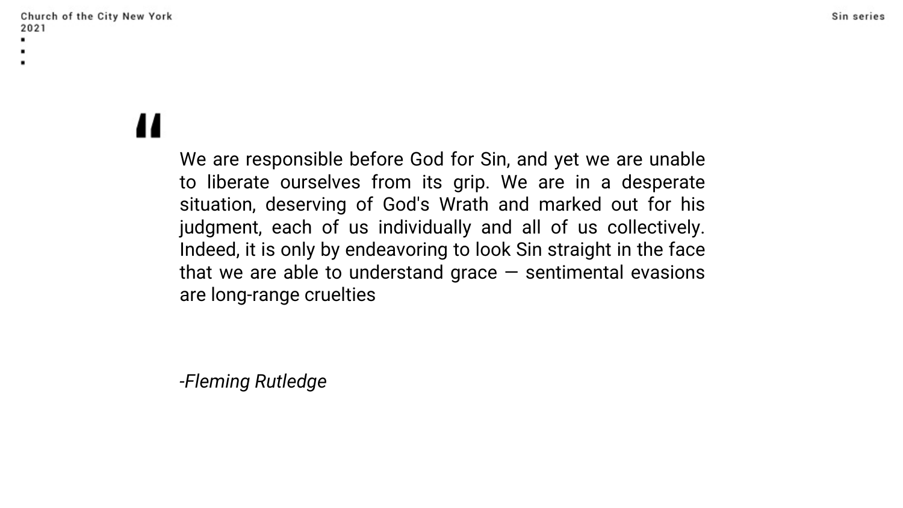We are responsible before God for Sin, and yet we are unable to liberate ourselves from its grip. We are in a desperate situation, deserving of God's Wrath and marked out for his judgment, each of us individually and all of us collectively. Indeed, it is only by endeavoring to look Sin straight in the face that we are able to understand grace  $-$  sentimental evasions are long-range cruelties

*-Fleming Rutledge*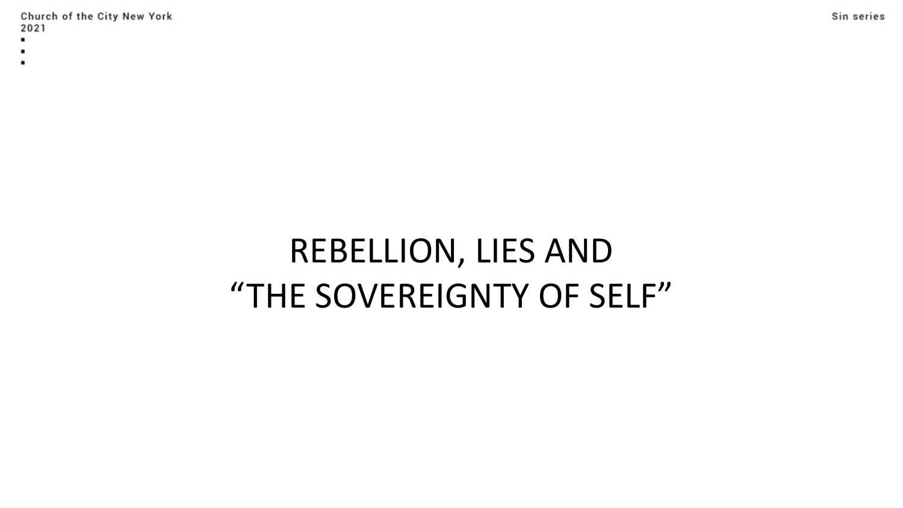- 
- 
- 
- 

Sin series

# REBELLION, LIES AND "THE SOVEREIGNTY OF SELF"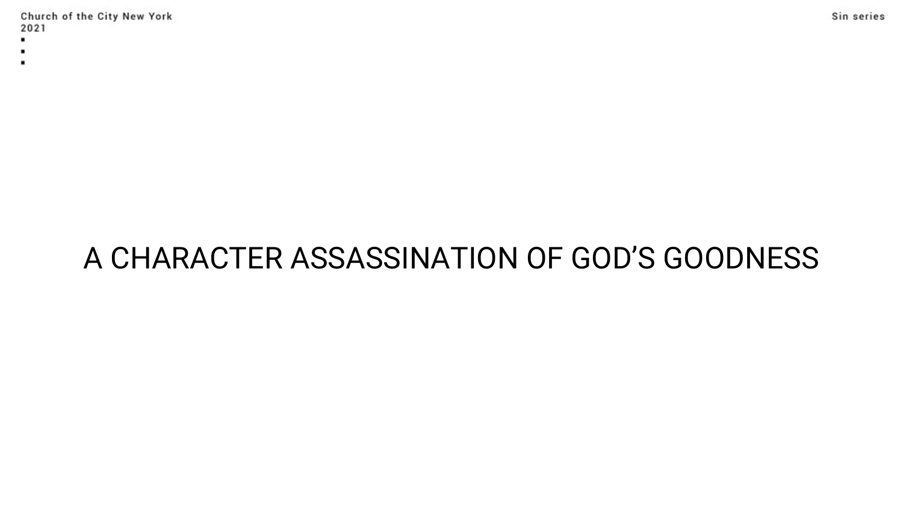- 
- 

A CHARACTER ASSASSINATION OF GOD'S GOODNESS

Sin series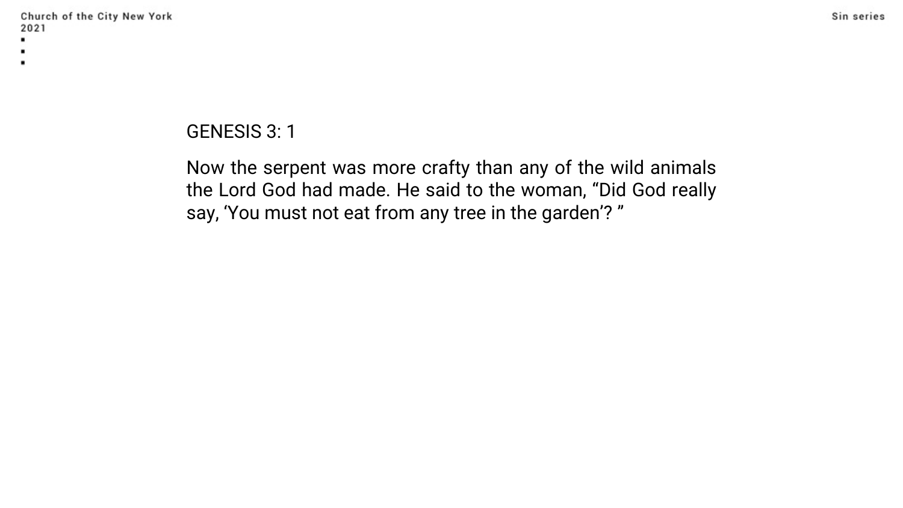## GENESIS 3: 1

Now the serpent was more crafty than any of the wild animals the Lord God had made. He said to the woman, "Did God really say, 'You must not eat from any tree in the garden'? "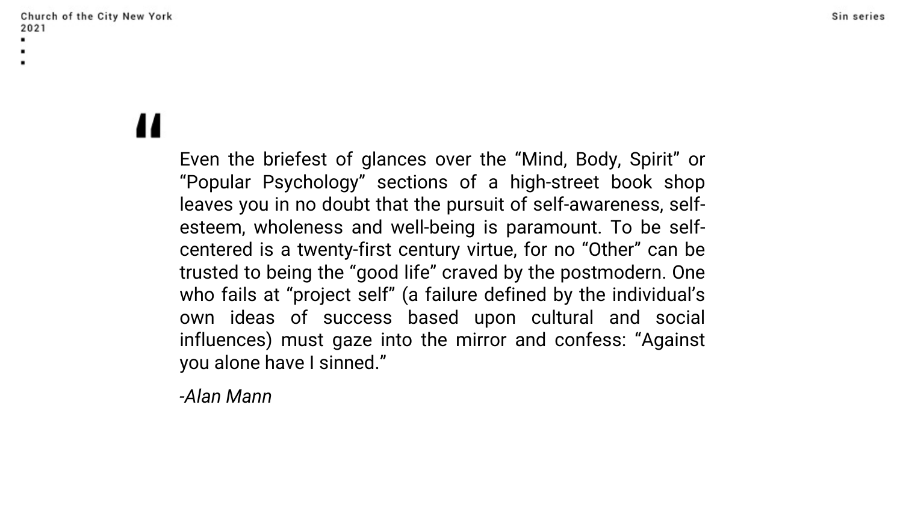Sin series

#### Church of the City New York 2021

Even the briefest of glances over the "Mind, Body, Spirit" or "Popular Psychology" sections of a high-street book shop leaves you in no doubt that the pursuit of self-awareness, selfesteem, wholeness and well-being is paramount. To be selfcentered is a twenty-first century virtue, for no "Other" can be trusted to being the "good life" craved by the postmodern. One who fails at "project self" (a failure defined by the individual's own ideas of success based upon cultural and social influences) must gaze into the mirror and confess: "Against you alone have I sinned."

*-Alan Mann*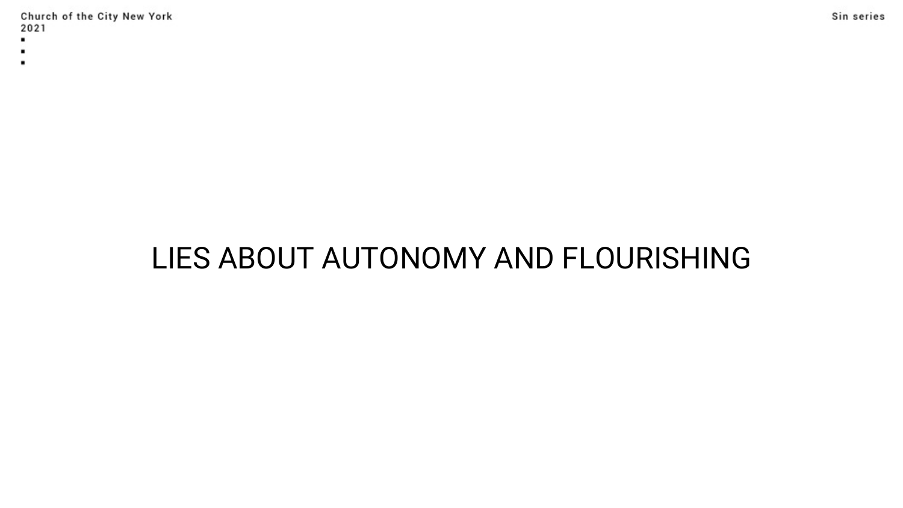- 
- 
- 
- 

# LIES ABOUT AUTONOMY AND FLOURISHING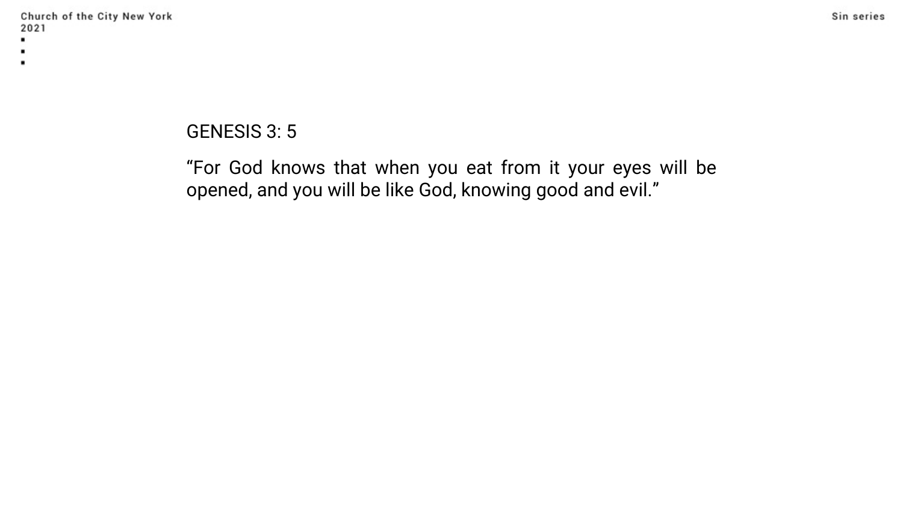## GENESIS 3: 5

"For God knows that when you eat from it your eyes will be opened, and you will be like God, knowing good and evil."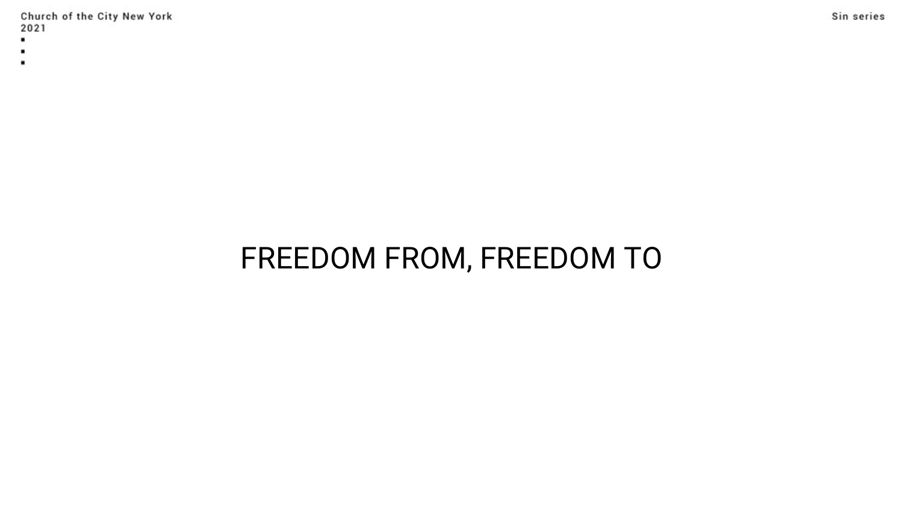- 
- 
- 
- 

## FREEDOM FROM, FREEDOM TO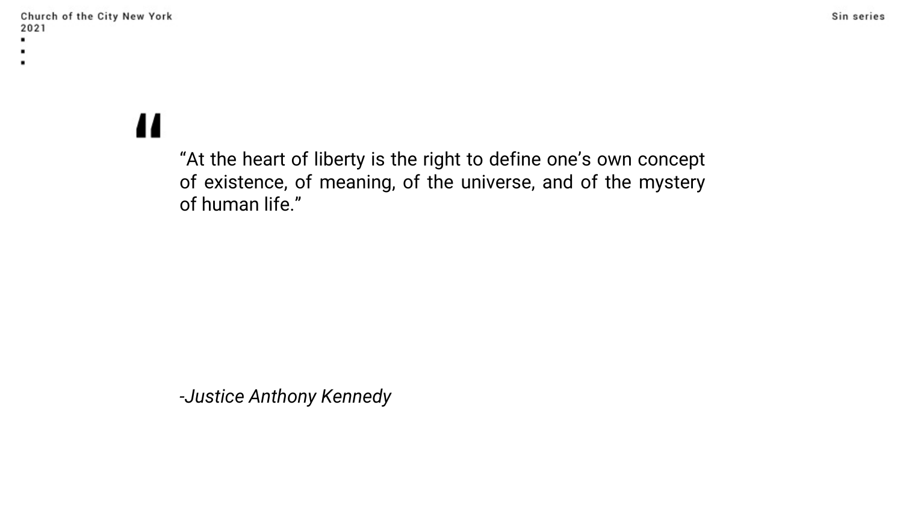# 11

"At the heart of liberty is the right to define one's own concept of existence, of meaning, of the universe, and of the mystery of human life."

*-Justice Anthony Kennedy*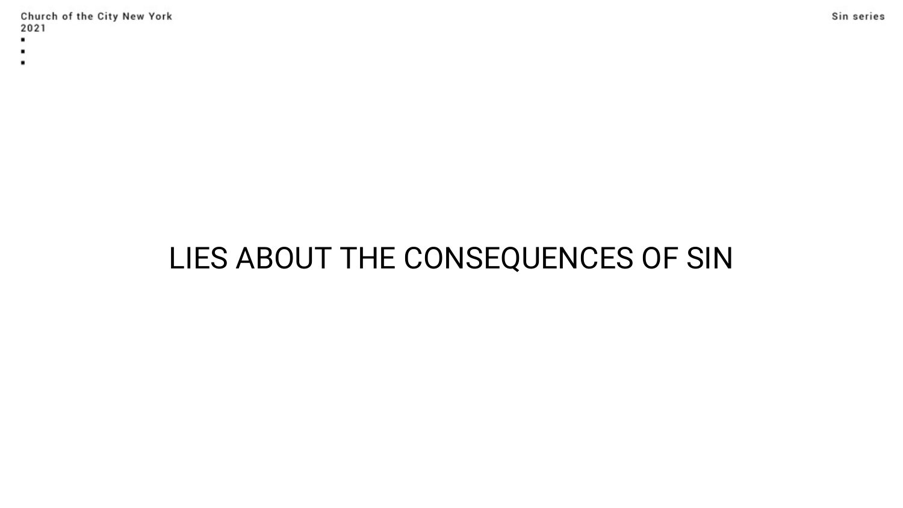- 
- 
- 
- 

LIES ABOUT THE CONSEQUENCES OF SIN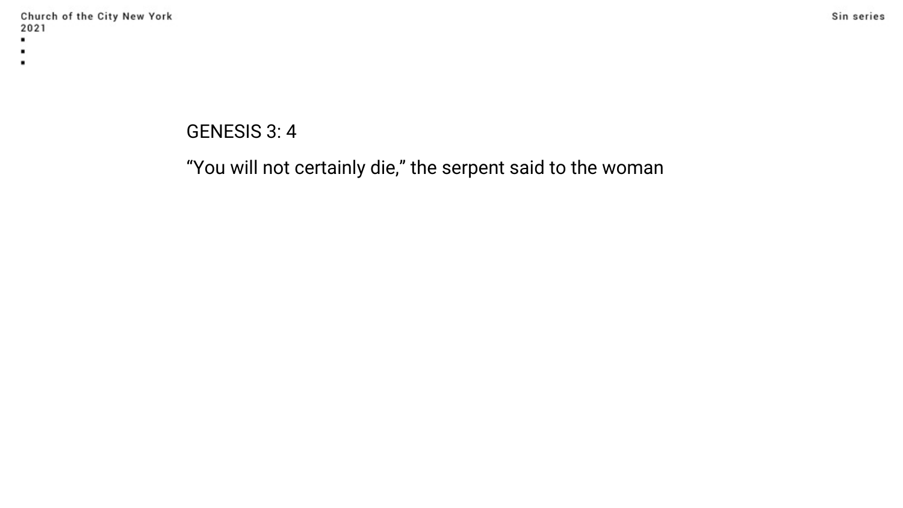## GENESIS 3: 4

"You will not certainly die," the serpent said to the woman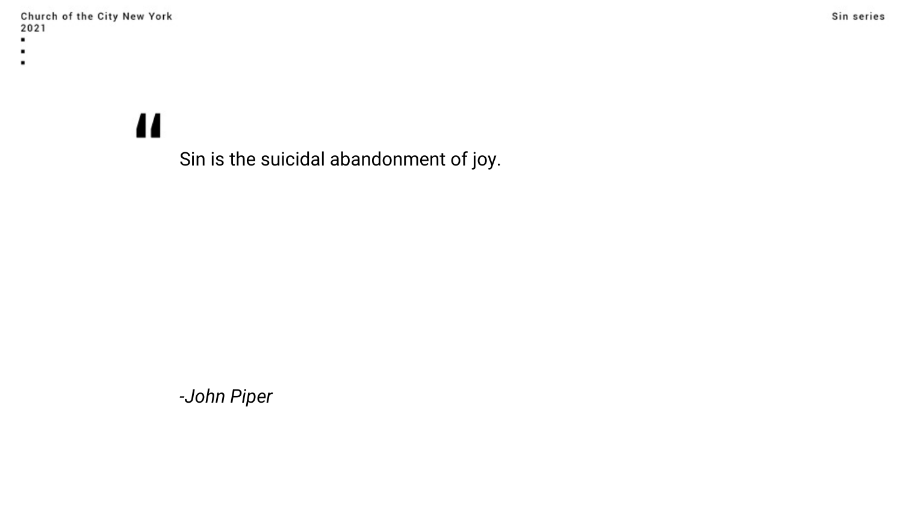$\blacksquare$ Sin is the suicidal abandonment of joy.

*-John Piper*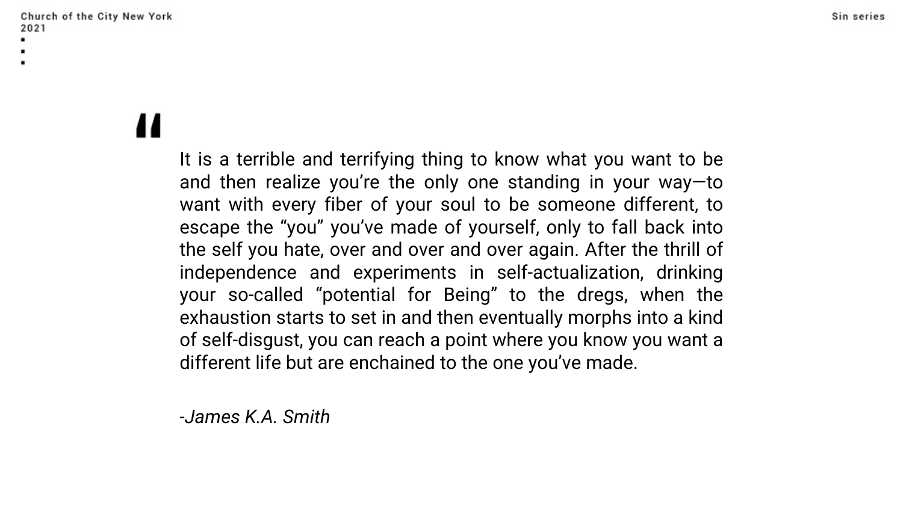Sin series

#### Church of the City New York 2021

It is a terrible and terrifying thing to know what you want to be and then realize you're the only one standing in your way—to want with every fiber of your soul to be someone different, to escape the "you" you've made of yourself, only to fall back into the self you hate, over and over and over again. After the thrill of independence and experiments in self-actualization, drinking your so-called "potential for Being" to the dregs, when the exhaustion starts to set in and then eventually morphs into a kind of self-disgust, you can reach a point where you know you want a different life but are enchained to the one you've made.

*-James K.A. Smith*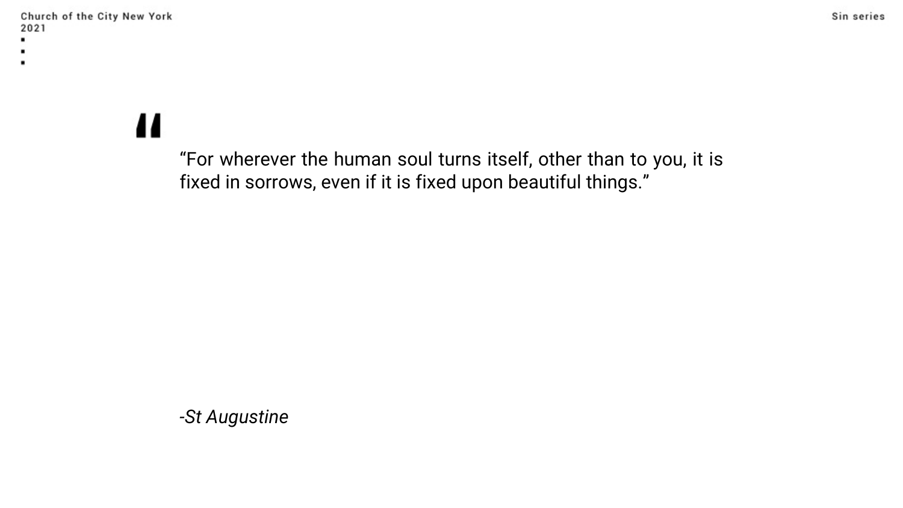# $\mathbf{u}$

"For wherever the human soul turns itself, other than to you, it is fixed in sorrows, even if it is fixed upon beautiful things."

*-St Augustine*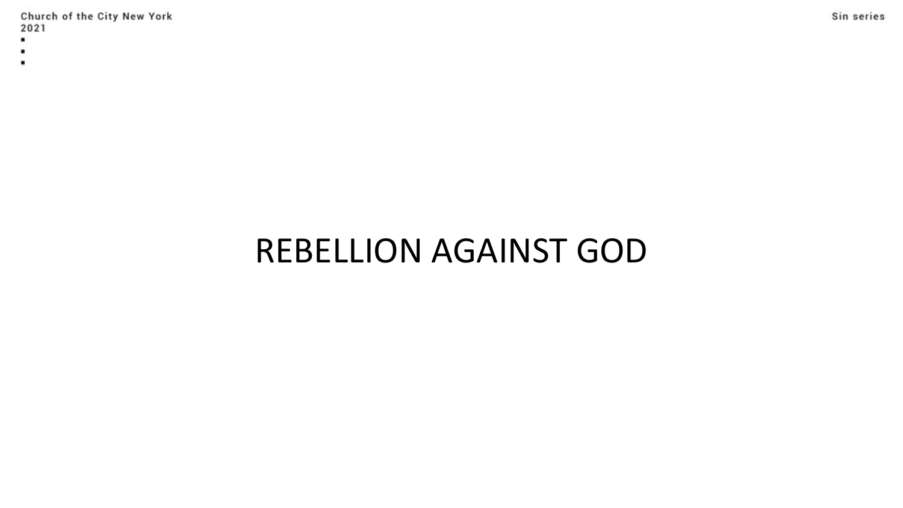- 
- 
- 

Sin series

# **REBELLION AGAINST GOD**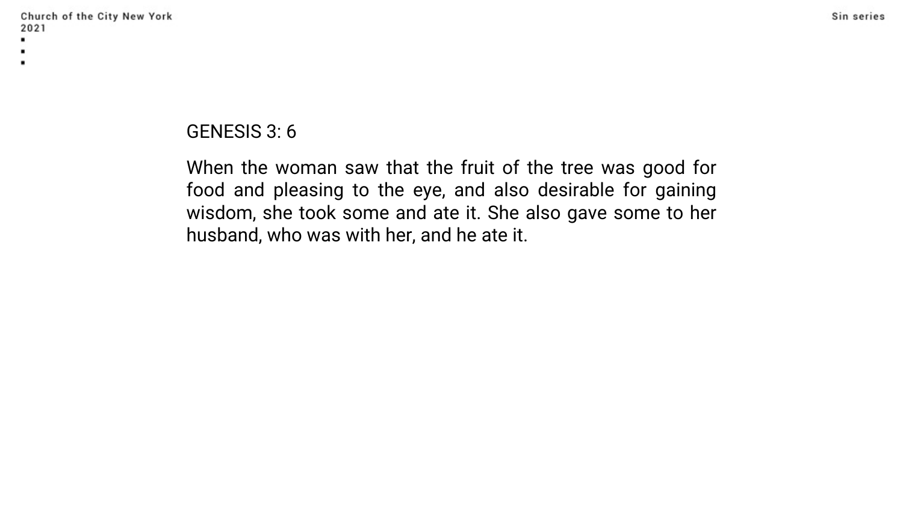### GENESIS 3: 6

When the woman saw that the fruit of the tree was good for food and pleasing to the eye, and also desirable for gaining wisdom, she took some and ate it. She also gave some to her husband, who was with her, and he ate it.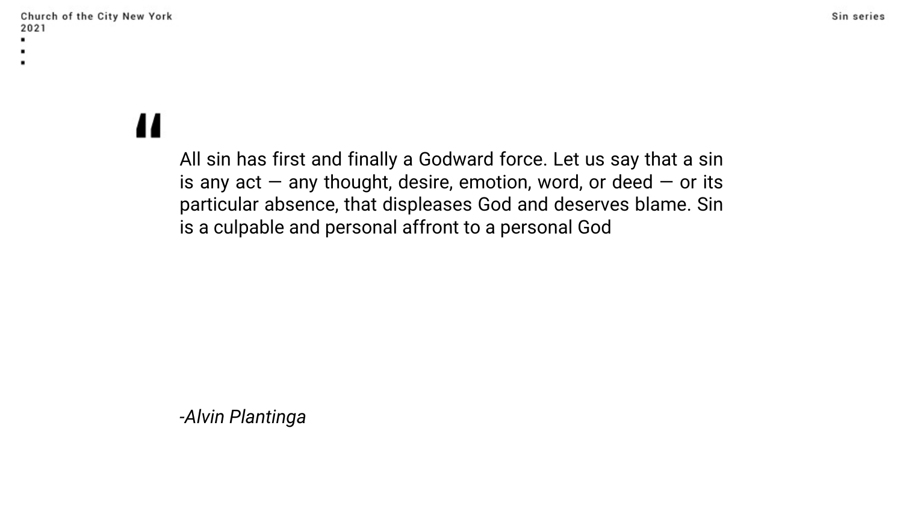# "

All sin has first and finally a Godward force. Let us say that a sin is any  $act - any thought, desire, emotion, word, or deed - or its$ particular absence, that displeases God and deserves blame. Sin is a culpable and personal affront to a personal God

*-Alvin Plantinga*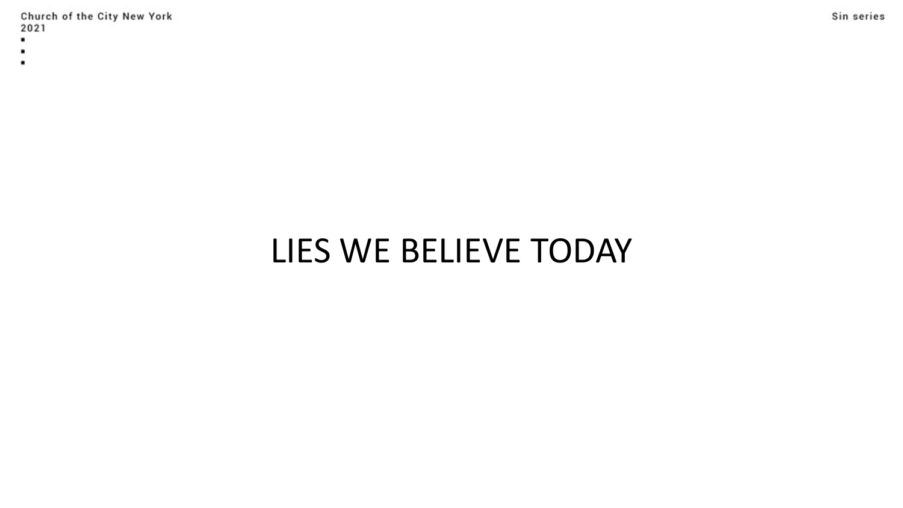- .
- 
- 

Sin series

# LIES WE BELIEVE TODAY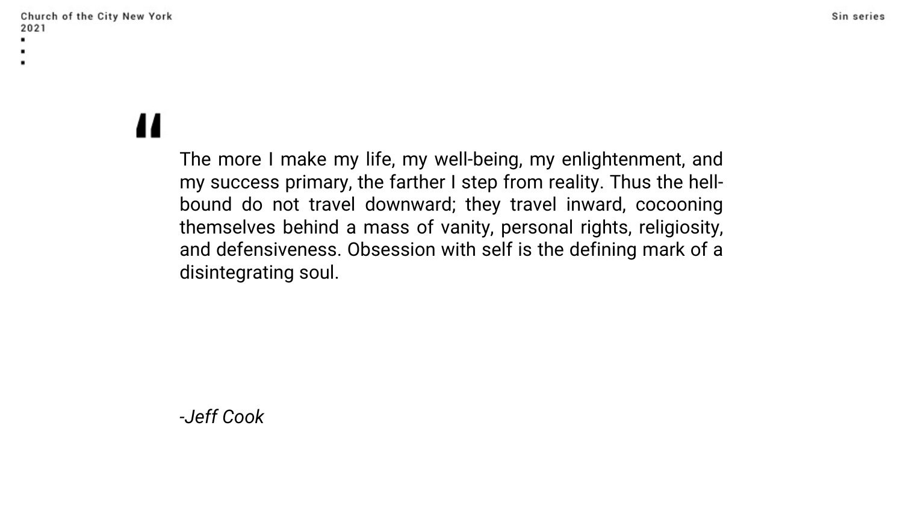The more I make my life, my well-being, my enlightenment, and my success primary, the farther I step from reality. Thus the hellbound do not travel downward; they travel inward, cocooning themselves behind a mass of vanity, personal rights, religiosity, and defensiveness. Obsession with self is the defining mark of a disintegrating soul.

*-Jeff Cook*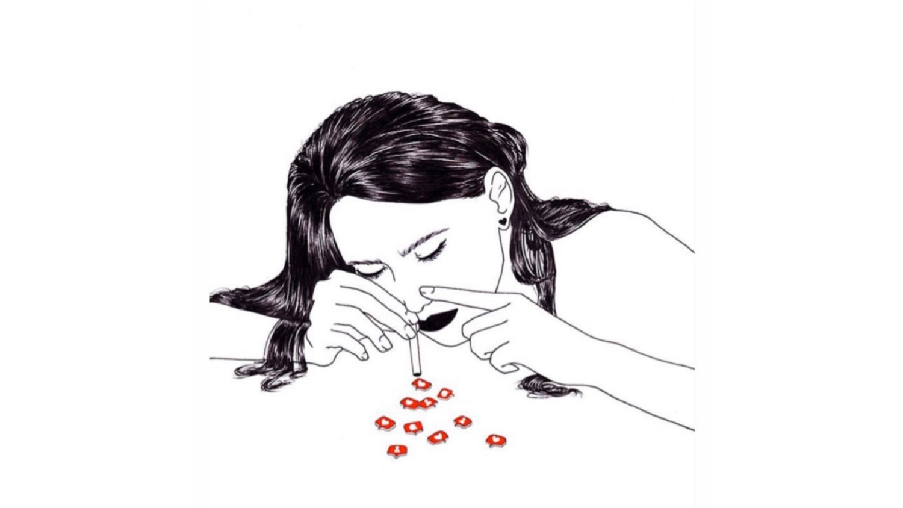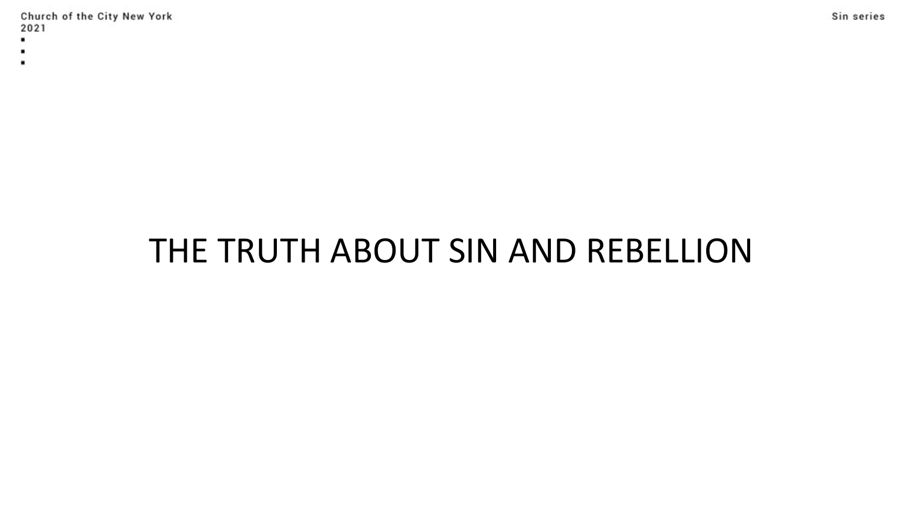- 
- 
- 
- 

Sin series

# THE TRUTH ABOUT SIN AND REBELLION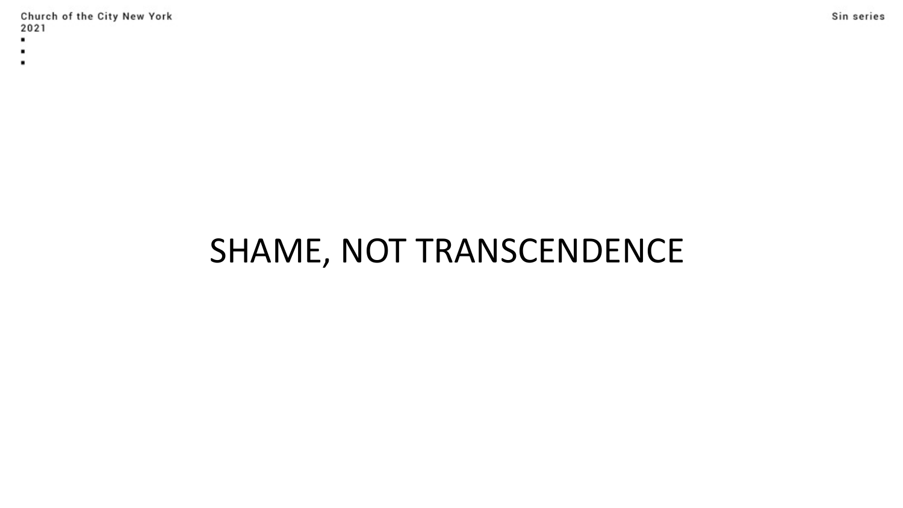- 
- 
- 

Sin series

# SHAME, NOT TRANSCENDENCE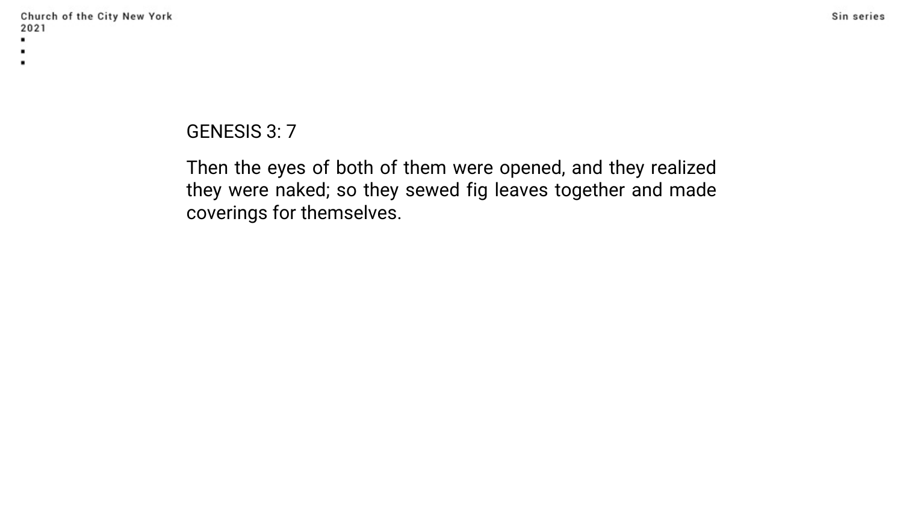## GENESIS 3: 7

Then the eyes of both of them were opened, and they realized they were naked; so they sewed fig leaves together and made coverings for themselves.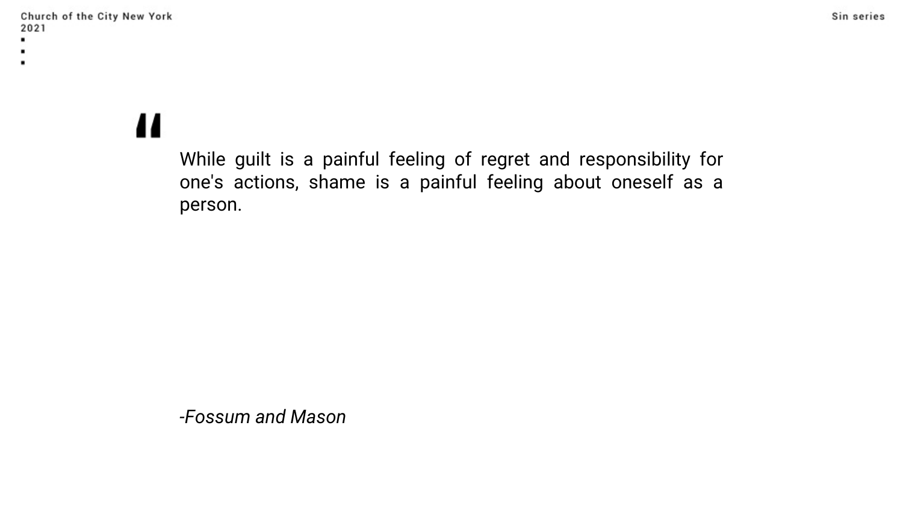## $\overline{\mathbf{u}}$

While guilt is a painful feeling of regret and responsibility for one's actions, shame is a painful feeling about oneself as a person.

*-Fossum and Mason*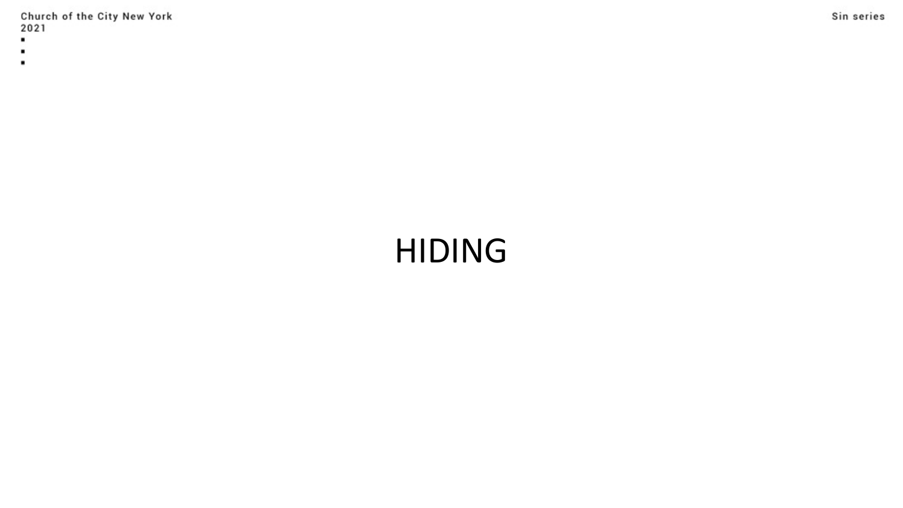- ٠
- 
- 
- ٠
- $\blacksquare$

# **HIDING**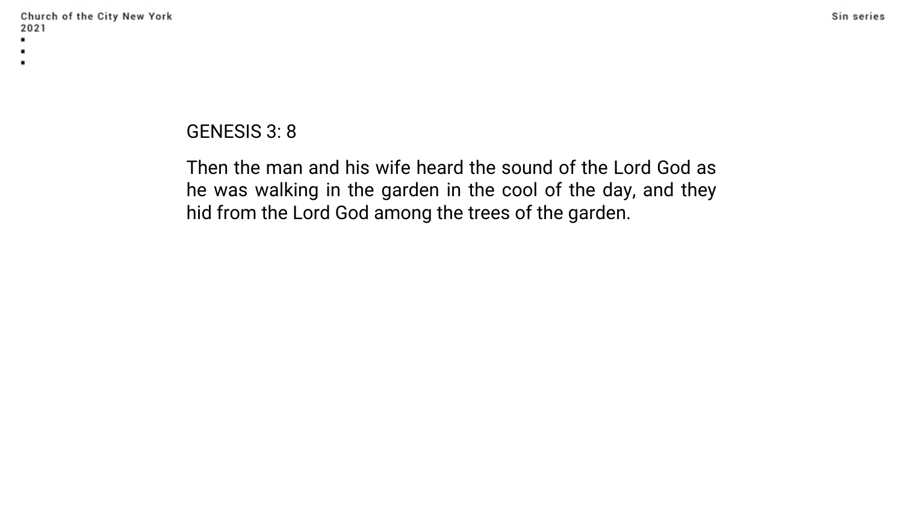## GENESIS 3: 8

Then the man and his wife heard the sound of the Lord God as he was walking in the garden in the cool of the day, and they hid from the Lord God among the trees of the garden.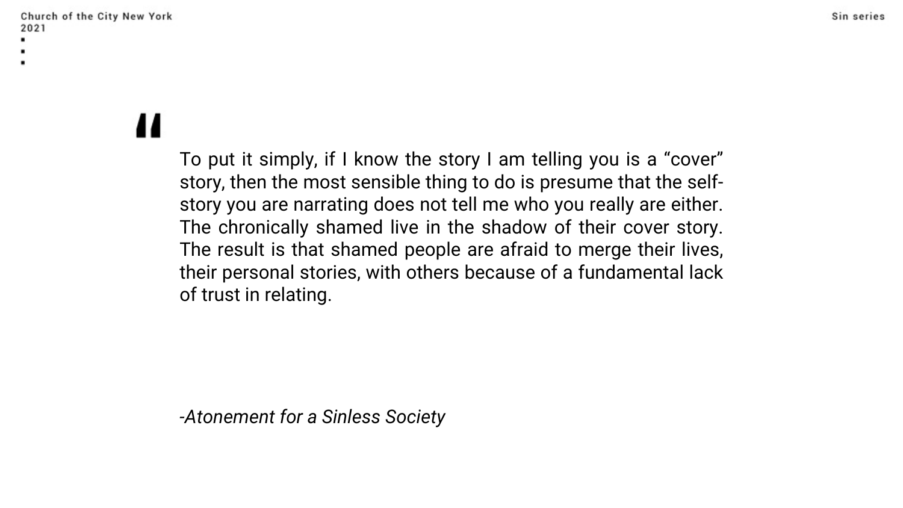To put it simply, if I know the story I am telling you is a "cover" story, then the most sensible thing to do is presume that the selfstory you are narrating does not tell me who you really are either. The chronically shamed live in the shadow of their cover story. The result is that shamed people are afraid to merge their lives, their personal stories, with others because of a fundamental lack of trust in relating.

*-Atonement for a Sinless Society*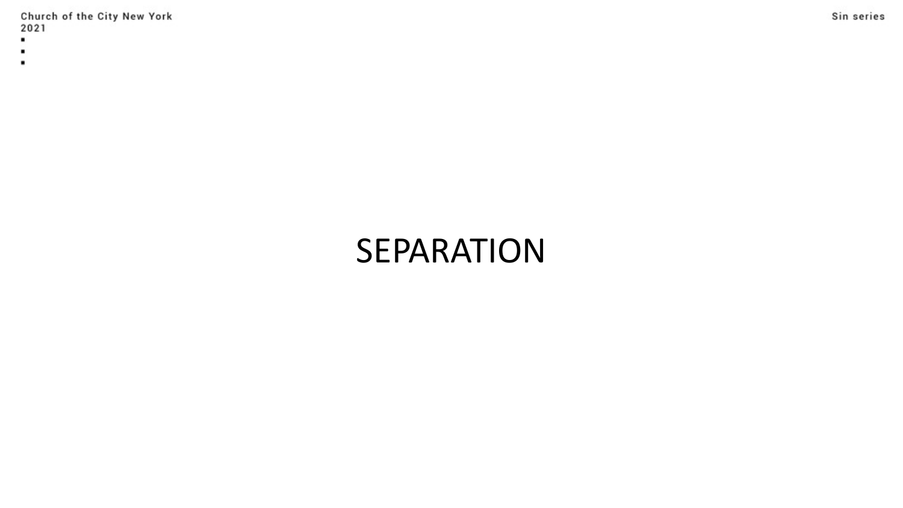SEPARATION

Sin series

- 
- ۰
- ٠ ٠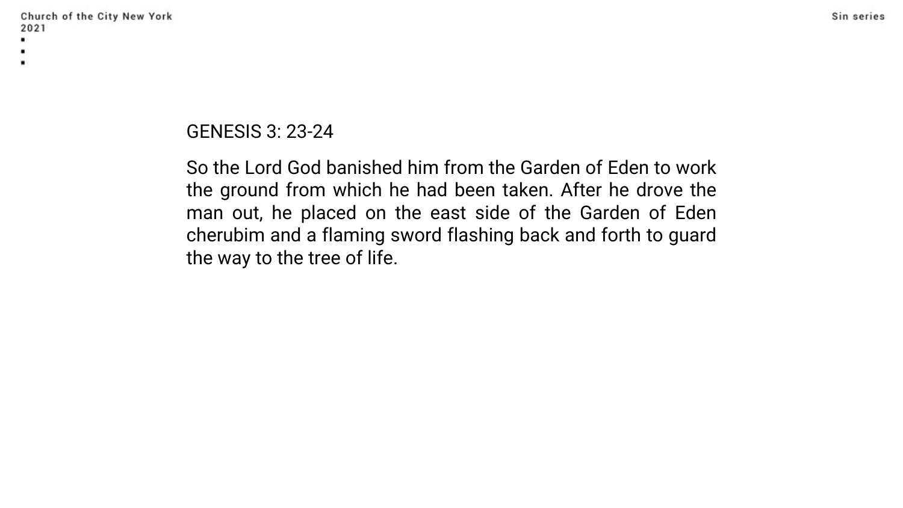### GENESIS 3: 23-24

So the Lord God banished him from the Garden of Eden to work the ground from which he had been taken. After he drove the man out, he placed on the east side of the Garden of Eden cherubim and a flaming sword flashing back and forth to guard the way to the tree of life.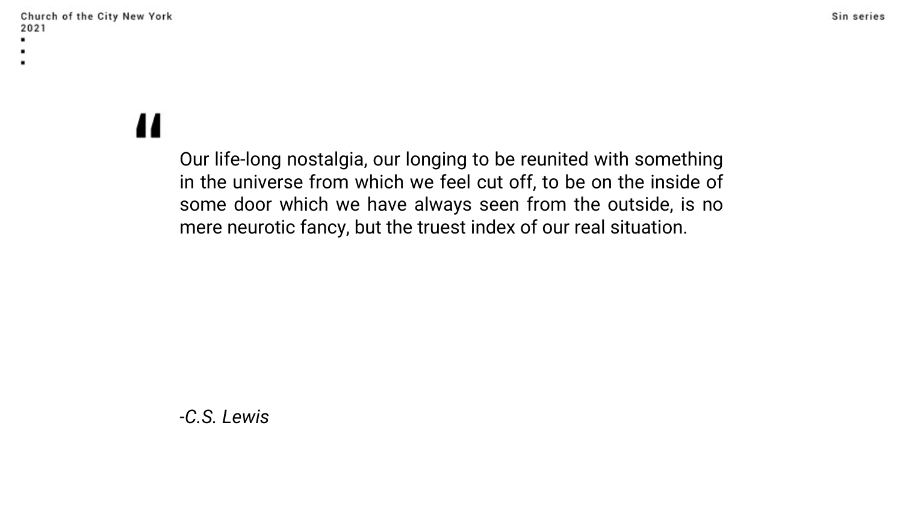# "

Our life-long nostalgia, our longing to be reunited with something in the universe from which we feel cut off, to be on the inside of some door which we have always seen from the outside, is no mere neurotic fancy, but the truest index of our real situation.

*-C.S. Lewis*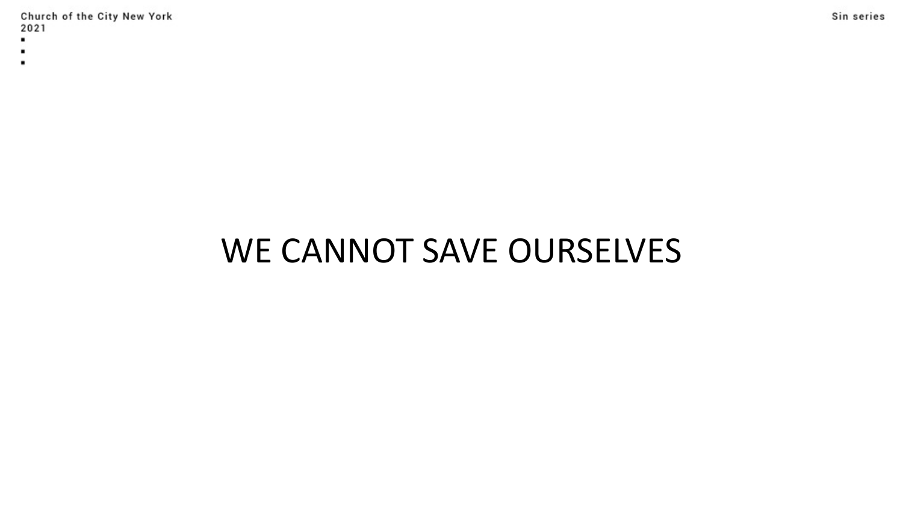WE CANNOT SAVE OURSELVES

Sin series

- 
- 
- 
- 
-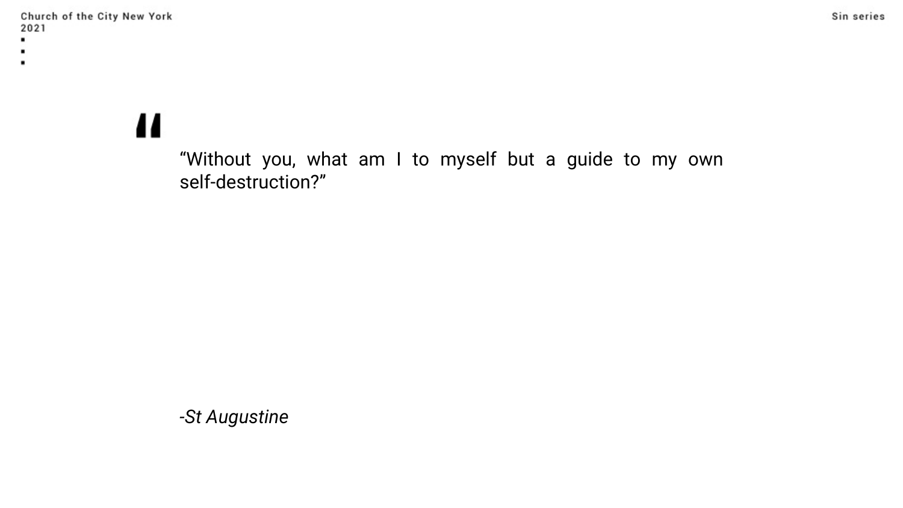# $\blacksquare$

"Without you, what am I to myself but a guide to my own self-destruction?"

*-St Augustine*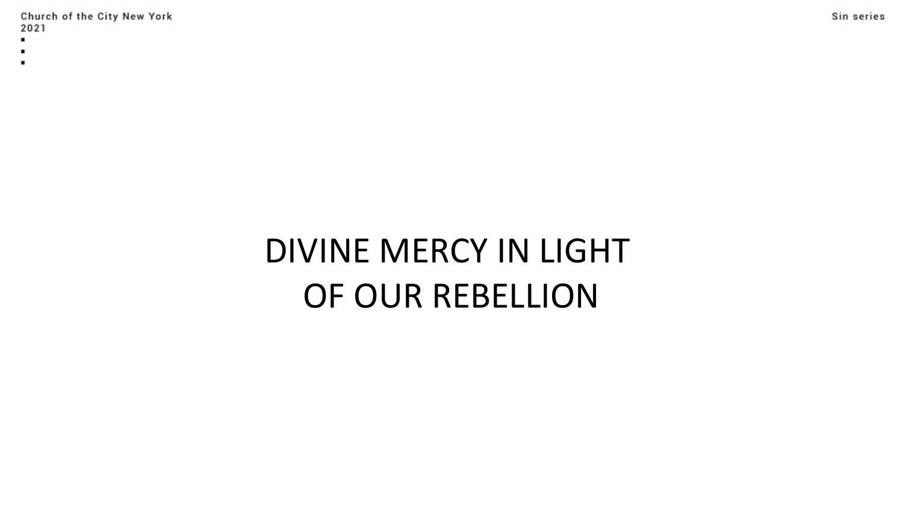- 
- 
- 
- 
- 

# DIVINE MERCY IN LIGHT OF OUR REBELLION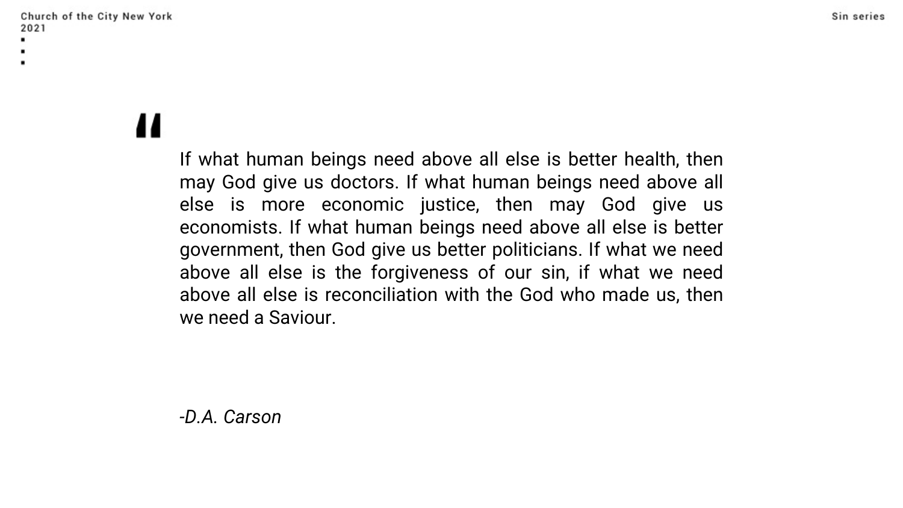Sin series

Church of the City New York 2021

If what human beings need above all else is better health, then may God give us doctors. If what human beings need above all else is more economic justice, then may God give us economists. If what human beings need above all else is better government, then God give us better politicians. If what we need above all else is the forgiveness of our sin, if what we need above all else is reconciliation with the God who made us, then we need a Saviour.

*-D.A. Carson*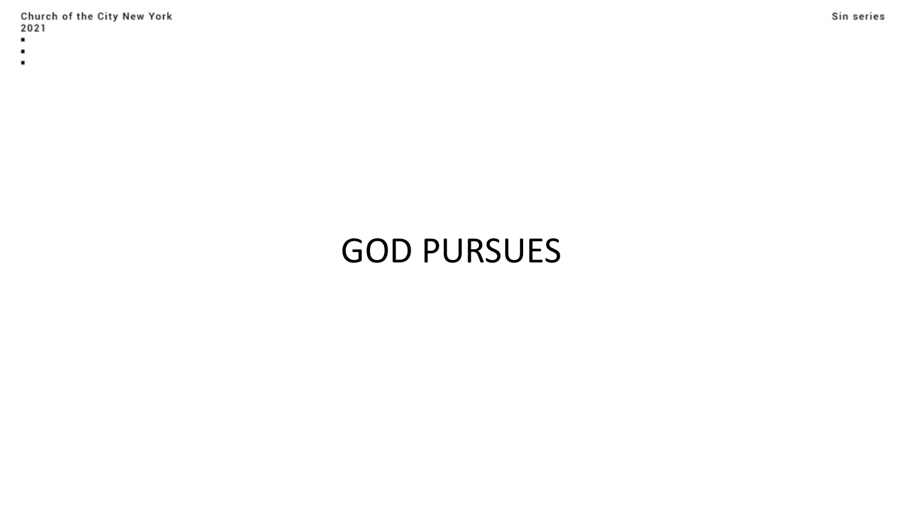**GOD PURSUES** 

Sin series

- 
- ۰
- ٠
- 

٠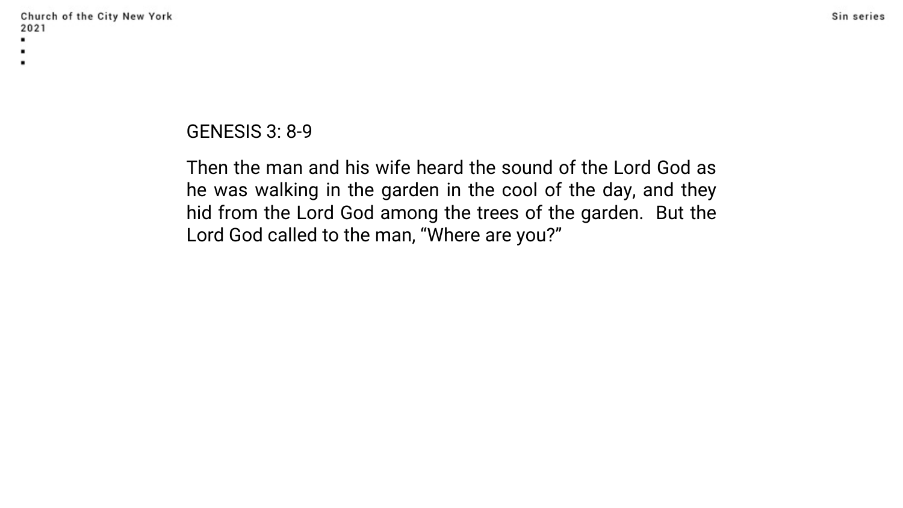### GENESIS 3: 8-9

Then the man and his wife heard the sound of the Lord God as he was walking in the garden in the cool of the day, and they hid from the Lord God among the trees of the garden. But the Lord God called to the man, "Where are you?"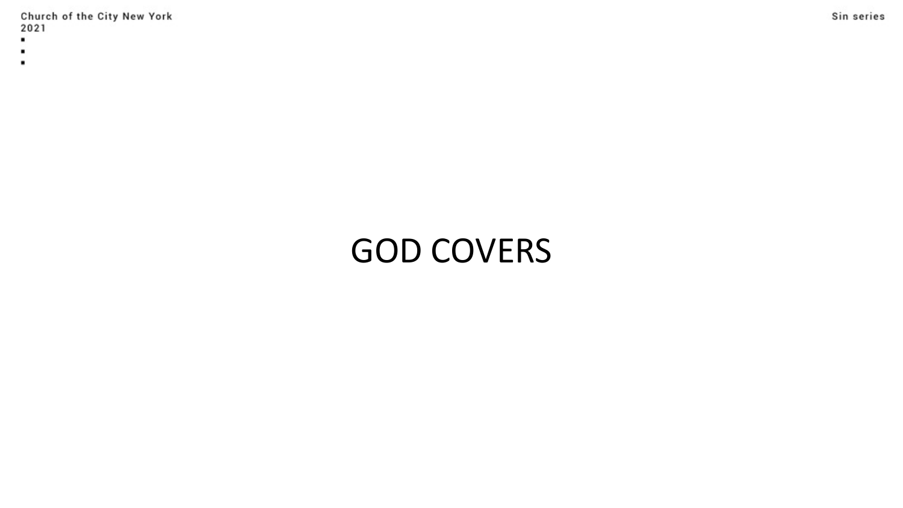**GOD COVERS** 

Sin series

- 
- ۰
- ٠ ٠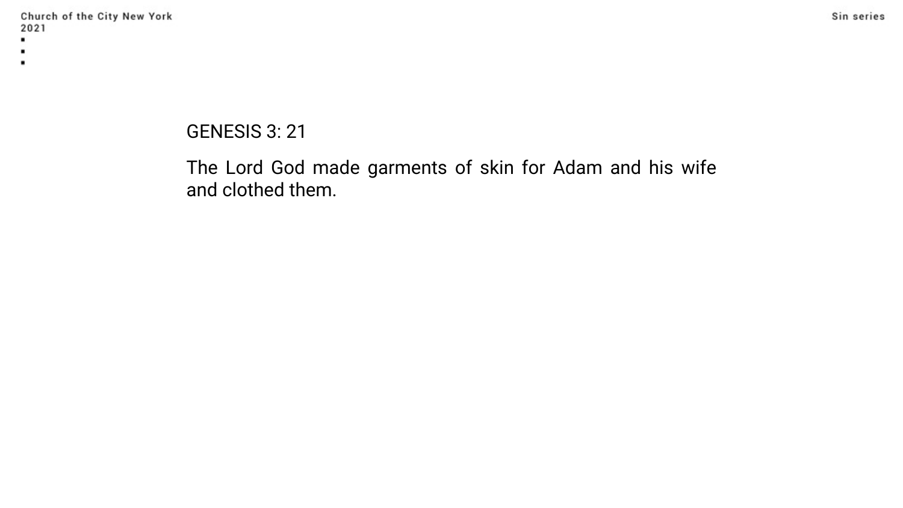## GENESIS 3: 21

The Lord God made garments of skin for Adam and his wife and clothed them.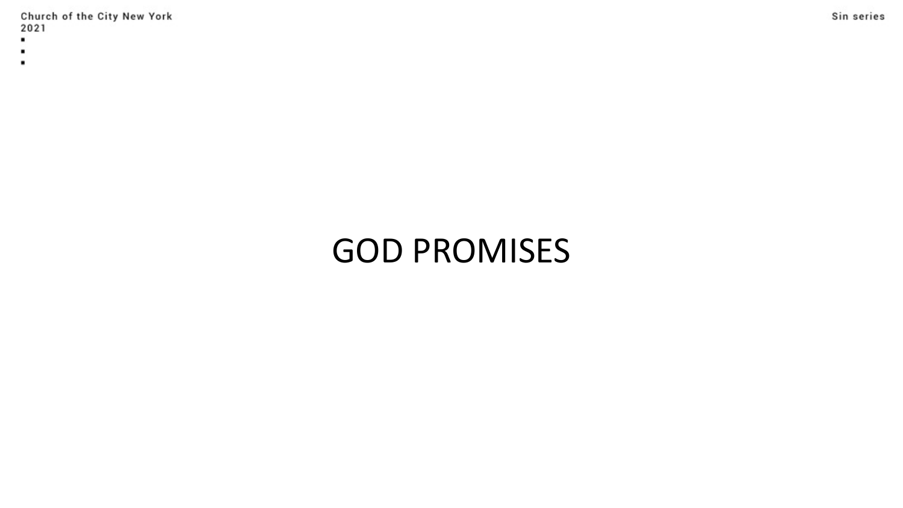- 
- ۰
- $\blacksquare$

٠

Sin series

# **GOD PROMISES**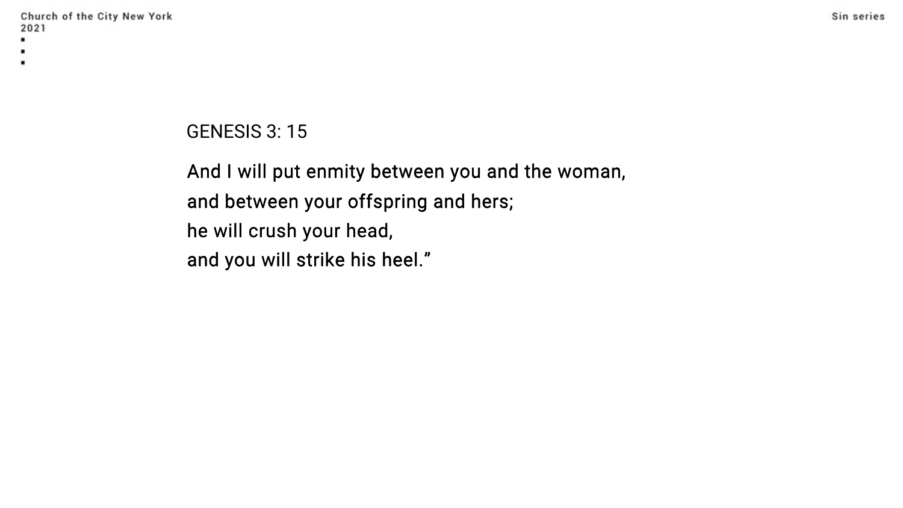## GENESIS 3: 15

And I will put enmity between you and the woman, and between your offspring and hers; he will crush your head, and you will strike his heel."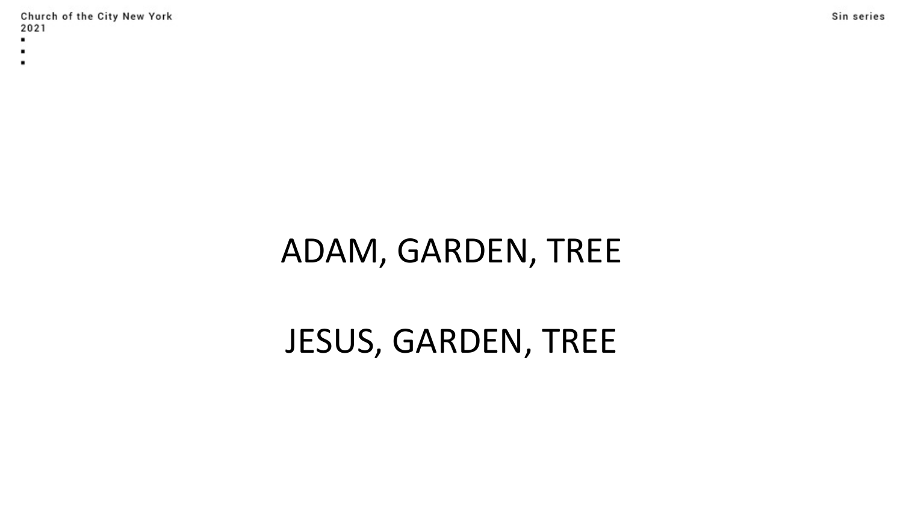- 
- 

ADAM, GARDEN, TREE

JESUS, GARDEN, TREE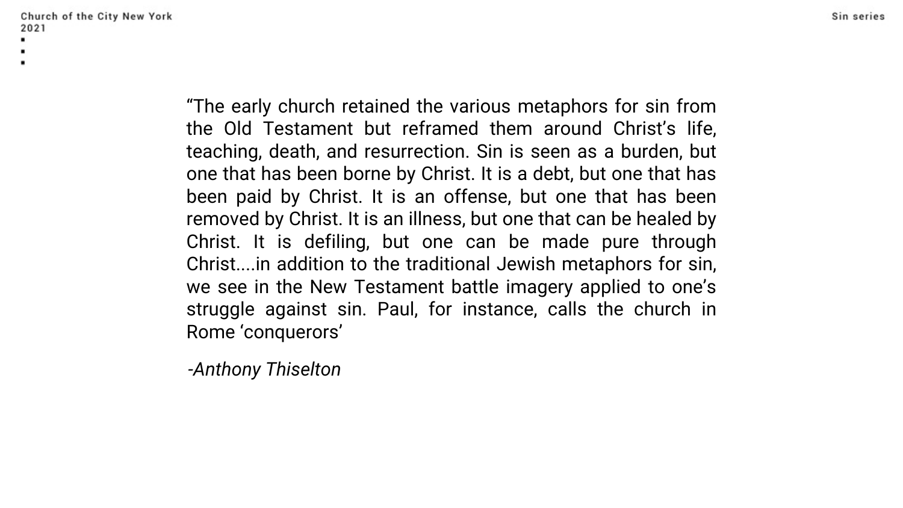Sin series

Church of the City New York 2021

> "The early church retained the various metaphors for sin from the Old Testament but reframed them around Christ's life, teaching, death, and resurrection. Sin is seen as a burden, but one that has been borne by Christ. It is a debt, but one that has been paid by Christ. It is an offense, but one that has been removed by Christ. It is an illness, but one that can be healed by Christ. It is defiling, but one can be made pure through Christ....in addition to the traditional Jewish metaphors for sin, we see in the New Testament battle imagery applied to one's struggle against sin. Paul, for instance, calls the church in Rome 'conquerors'

*-Anthony Thiselton*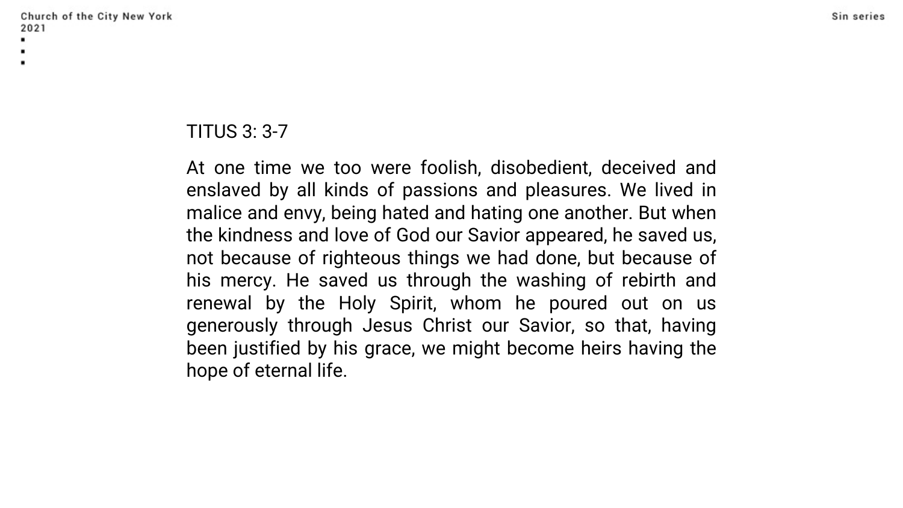### TITUS 3: 3-7

At one time we too were foolish, disobedient, deceived and enslaved by all kinds of passions and pleasures. We lived in malice and envy, being hated and hating one another. But when the kindness and love of God our Savior appeared, he saved us, not because of righteous things we had done, but because of his mercy. He saved us through the washing of rebirth and renewal by the Holy Spirit, whom he poured out on us generously through Jesus Christ our Savior, so that, having been justified by his grace, we might become heirs having the hope of eternal life.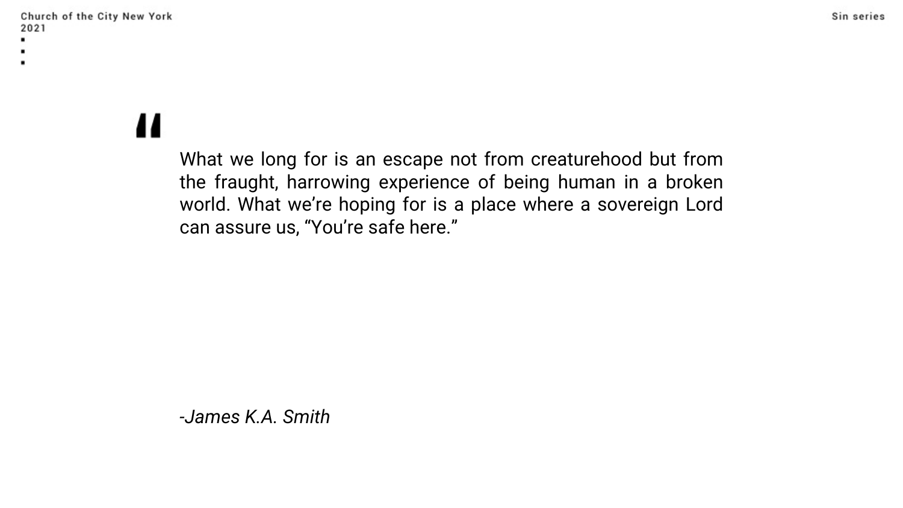# "

What we long for is an escape not from creaturehood but from the fraught, harrowing experience of being human in a broken world. What we're hoping for is a place where a sovereign Lord can assure us, "You're safe here."

*-James K.A. Smith*